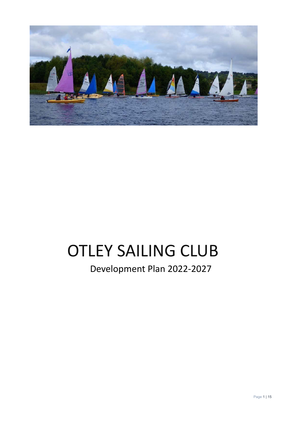

# OTLEY SAILING CLUB

Development Plan 2022-2027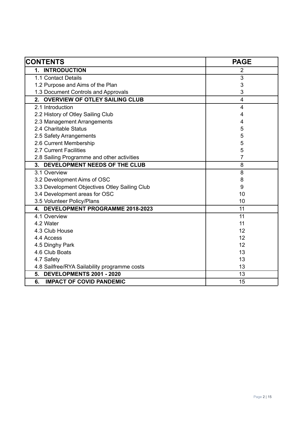| <b>CONTENTS</b>                               | <b>PAGE</b>    |
|-----------------------------------------------|----------------|
| 1. INTRODUCTION                               | $\overline{2}$ |
| 1.1 Contact Details                           | 3              |
| 1.2 Purpose and Aims of the Plan              | 3              |
| 1.3 Document Controls and Approvals           | 3              |
| 2. OVERVIEW OF OTLEY SAILING CLUB             | $\overline{4}$ |
| 2.1 Introduction                              | 4              |
| 2.2 History of Otley Sailing Club             | 4              |
| 2.3 Management Arrangements                   | 4              |
| 2.4 Charitable Status                         | 5              |
| 2.5 Safety Arrangements                       | 5              |
| 2.6 Current Membership                        | 5              |
| 2.7 Current Facilities                        | 5              |
| 2.8 Sailing Programme and other activities    | 7              |
| DEVELOPMENT NEEDS OF THE CLUB<br>3.           | 8              |
| 3.1 Overview                                  | 8              |
| 3.2 Development Aims of OSC                   | 8              |
| 3.3 Development Objectives Otley Sailing Club | 9              |
| 3.4 Development areas for OSC                 | 10             |
| 3.5 Volunteer Policy/Plans                    | 10             |
| 4. DEVELOPMENT PROGRAMME 2018-2023            | 11             |
| 4.1 Overview                                  | 11             |
| 4.2 Water                                     | 11             |
| 4.3 Club House                                | 12             |
| 4.4 Access                                    | 12             |
| 4.5 Dinghy Park                               | 12             |
| 4.6 Club Boats                                | 13             |
| 4.7 Safety                                    | 13             |
| 4.8 Sailfree/RYA Sailability programme costs  | 13             |
| 5. DEVELOPMENTS 2001 - 2020                   | 13             |
| 6.<br><b>IMPACT OF COVID PANDEMIC</b>         | 15             |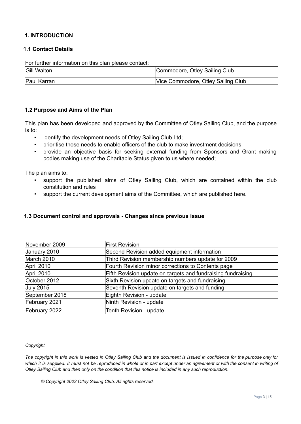# **1. INTRODUCTION**

# **1.1 Contact Details**

For further information on this plan please contact:

| <b>Gill Walton</b> | Commodore, Otley Sailing Club      |
|--------------------|------------------------------------|
| Paul Karran        | Vice Commodore, Otley Sailing Club |

#### **1.2 Purpose and Aims of the Plan**

This plan has been developed and approved by the Committee of Otley Sailing Club, and the purpose is to:

- identify the development needs of Otley Sailing Club Ltd;
- prioritise those needs to enable officers of the club to make investment decisions;
- provide an objective basis for seeking external funding from Sponsors and Grant making bodies making use of the Charitable Status given to us where needed;

The plan aims to:

- support the published aims of Otley Sailing Club, which are contained within the club constitution and rules
- support the current development aims of the Committee, which are published here.

#### **1.3 Document control and approvals - Changes since previous issue**

| November 2009    | <b>First Revision</b>                                        |
|------------------|--------------------------------------------------------------|
| January 2010     | Second Revision added equipment information                  |
| March 2010       | Third Revision membership numbers update for 2009            |
| April 2010       | Fourth Revision minor corrections to Contents page           |
| April 2010       | Fifth Revision update on targets and fundraising fundraising |
| October 2012     | Sixth Revision update on targets and fundraising             |
| <b>July 2015</b> | Seventh Revision update on targets and funding               |
| September 2018   | Eighth Revision - update                                     |
| February 2021    | Ninth Revision - update                                      |
| February 2022    | Tenth Revision - update                                      |

#### *Copyright*

The copyright in this work is vested in Otley Sailing Club and the document is issued in confidence for the purpose only for which it is supplied. It must not be reproduced in whole or in part except under an agreement or with the consent in writing of *Otley Sailing Club and then only on the condition that this notice is included in any such reproduction.*

*© Copyright 2022 Otley Sailing Club. All rights reserved.*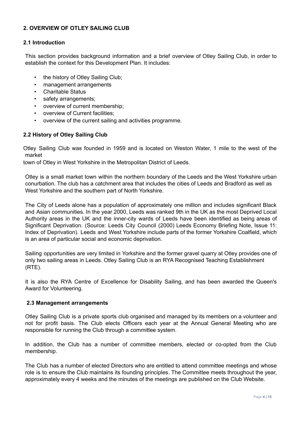# **2. OVERVIEW OF OTLEY SAILING CLUB**

# **2.1 Introduction**

This section provides background information and a brief overview of Otley Sailing Club, in order to establish the context for this Development Plan. It includes:

- the history of Otley Sailing Club;
- management arrangements
- Charitable Status
- safety arrangements;
- overview of current membership;
- overview of Current facilities;
- overview of the current sailing and activities programme.

# **2.2 History of Otley Sailing Club**

Otley Sailing Club was founded in 1959 and is located on Weston Water, 1 mile to the west of the market

town of Otley in West Yorkshire in the Metropolitan District of Leeds.

Otley is a small market town within the northern boundary of the Leeds and the West Yorkshire urban conurbation. The club has a catchment area that includes the cities of Leeds and Bradford as well as West Yorkshire and the southern part of North Yorkshire.

The City of Leeds alone has a population of approximately one million and includes significant Black and Asian communities. In the year 2000, Leeds was ranked 9th in the UK as the most Deprived Local Authority areas in the UK and the inner-city wards of Leeds have been identified as being areas of Significant Deprivation. (Source: Leeds City Council (2000) Leeds Economy Briefing Note, Issue 11: Index of Deprivation). Leeds and West Yorkshire include parts of the former Yorkshire Coalfield, which is an area of particular social and economic deprivation.

Sailing opportunities are very limited in Yorkshire and the former gravel quarry at Otley provides one of only two sailing areas in Leeds. Otley Sailing Club is an RYA Recognised Teaching Establishment (RTE).

It is also the RYA Centre of Excellence for Disability Sailing, and has been awarded the Queen's Award for Volunteering.

# **2.3 Management arrangements**

Otley Sailing Club is a private sports club organised and managed by its members on a volunteer and not for profit basis. The Club elects Officers each year at the Annual General Meeting who are responsible for running the Club through a committee system.

In addition, the Club has a number of committee members, elected or co-opted from the Club membership.

The Club has a number of elected Directors who are entitled to attend committee meetings and whose role is to ensure the Club maintains its founding principles. The Committee meets throughout the year, approximately every 4 weeks and the minutes of the meetings are published on the Club Website.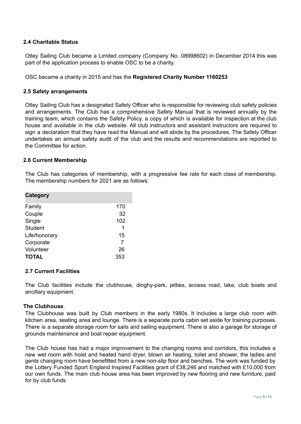## **2.4 Charitable Status**

Otley Sailing Club became a Limited company (Company No. 08998602) in December 2014 this was part of the application process to enable OSC to be a charity.

OSC became a charity in 2015 and has the **Registered Charity Number 1160253**

#### **2.5 Safety arrangements**

Otley Sailing Club has a designated Safety Officer who is responsible for reviewing club safety policies and arrangements. The Club has a comprehensive Safety Manual that is reviewed annually by the training team, which contains the Safety Policy, a copy of which is available for inspection at the club house and available in the club website. All club instructors and assistant instructors are required to sign a declaration that they have read the Manual and will abide by the procedures. The Safety Officer undertakes an annual safety audit of the club and the results and recommendations are reported to the Committee for action.

#### **2.6 Current Membership**

The Club has categories of membership, with a progressive fee rate for each class of membership. The membership numbers for 2021 are as follows:

| Category       |     |
|----------------|-----|
| Family         | 170 |
| Couple         | 32  |
| Single         | 102 |
| <b>Student</b> | 1   |
| Life/honorary  | 15  |
| Corporate      | 7   |
| Volunteer      | 26  |
| <b>TOTAL</b>   | 353 |

#### **2.7 Current Facilities**

The Club facilities include the clubhouse, dinghy-park, jetties, access road, lake, club boats and ancillary equipment.

## **The Clubhouse***.*

The Clubhouse was built by Club members in the early 1980s. It includes a large club room with kitchen area, seating area and lounge. There is a separate porta cabin set aside for training purposes. There is a separate storage room for sails and sailing equipment. There is also a garage for storage of grounds maintenance and boat repair equipment.

The Club house has had a major improvement to the changing rooms and corridors, this includes a new wet room with hoist and heated hand dryer, blown air heating, toilet and shower, the ladies and gents changing room have benefitted from a new non-slip floor and benches. The work was funded by the Lottery Funded Sport England Inspired Facilities grant of £38,246 and matched with £10,000 from our own funds. The main club house area has been improved by new flooring and new furniture, paid for by club funds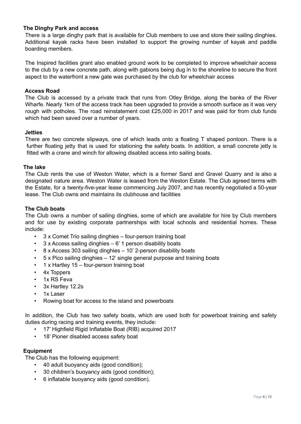# **The Dinghy Park and access**

There is a large dinghy park that is available for Club members to use and store their sailing dinghies. Additional kayak racks have been installed to support the growing number of kayak and paddle boarding members.

The Inspired facilities grant also enabled ground work to be completed to improve wheelchair access to the club by a new concrete path, along with gabions being dug in to the shoreline to secure the front aspect to the waterfront a new gate was purchased by the club for wheelchair access

#### **Access Road**

The Club is accessed by a private track that runs from Otley Bridge, along the banks of the River Wharfe. Nearly 1km of the access track has been upgraded to provide a smooth surface as it was very rough with potholes. The road reinstatement cost £25,000 in 2017 and was paid for from club funds which had been saved over a number of years.

#### **Jetties**

There are two concrete slipways, one of which leads onto a floating T shaped pontoon. There is a further floating jetty that is used for stationing the safety boats. In addition, a small concrete jetty is fitted with a crane and winch for allowing disabled access into sailing boats.

#### **The lake**

The Club rents the use of Weston Water, which is a former Sand and Gravel Quarry and is also a designated nature area. Weston Water is leased from the Weston Estate. The Club agreed terms with the Estate, for a twenty-five-year lease commencing July 2007, and has recently negotiated a 50-year lease. The Club owns and maintains its clubhouse and facilities

#### **The Club boats**

The Club owns a number of sailing dinghies, some of which are available for hire by Club members and for use by existing corporate partnerships with local schools and residential homes. These include:

- 3 x Comet Trio sailing dinghies four-person training boat
- $3 \times$  Access sailing dinghies 6' 1 person disability boats
- 8 x Access 303 sailing dinghies 10' 2-person disability boats
- 5 x Pico sailing dinghies 12' single general purpose and training boats
- 1 x Hartley 15 four-person training boat
- 4x Toppers
- 1x RS Feva
- 3x Hartley 12.2s
- 1x Laser
- Rowing boat for access to the island and powerboats

In addition, the Club has two safety boats, which are used both for powerboat training and safety duties during racing and training events, they include:

- 17' Highfield Rigid Inflatable Boat (RIB) acquired 2017
- 18' Pioner disabled access safety boat

#### **Equipment**

The Club has the following equipment:

- 40 adult buoyancy aids (good condition);
- 30 children's buoyancy aids (good condition);
- 6 inflatable buoyancy aids (good condition).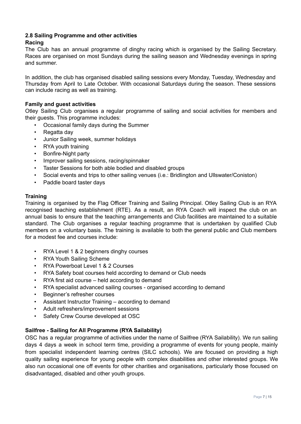#### **2.8 Sailing Programme and other activities Racing**

# The Club has an annual programme of dinghy racing which is organised by the Sailing Secretary. Races are organised on most Sundays during the sailing season and Wednesday evenings in spring and summer.

In addition, the club has organised disabled sailing sessions every Monday, Tuesday, Wednesday and Thursday from April to Late October. With occasional Saturdays during the season. These sessions can include racing as well as training.

# **Family and guest activities**

Otley Sailing Club organises a regular programme of sailing and social activities for members and their guests. This programme includes:

- Occasional family days during the Summer
- Regatta day
- Junior Sailing week, summer holidays
- RYA youth training
- Bonfire-Night party
- Improver sailing sessions, racing/spinnaker
- Taster Sessions for both able bodied and disabled groups
- Social events and trips to other sailing venues (i.e.: Bridlington and Ullswater/Coniston)
- Paddle board taster days

#### **Training**

Training is organised by the Flag Officer Training and Sailing Principal. Otley Sailing Club is an RYA recognised teaching establishment (RTE). As a result, an RYA Coach will inspect the club on an annual basis to ensure that the teaching arrangements and Club facilities are maintained to a suitable standard. The Club organises a regular teaching programme that is undertaken by qualified Club members on a voluntary basis. The training is available to both the general public and Club members for a modest fee and courses include:

- RYA Level 1 & 2 beginners dinghy courses
- RYA Youth Sailing Scheme
- RYA Powerboat Level 1 & 2 Courses
- RYA Safety boat courses held according to demand or Club needs
- RYA first aid course held according to demand
- RYA specialist advanced sailing courses organised according to demand
- Beginner's refresher courses
- Assistant Instructor Training according to demand
- Adult refreshers/improvement sessions
- Safety Crew Course developed at OSC

# **Sailfree - Sailing for All Programme (RYA Sailability)**

OSC has a regular programme of activities under the name of Sailfree (RYA Sailability). We run sailing days 4 days a week in school term time, providing a programme of events for young people, mainly from specialist independent learning centres (SILC schools). We are focused on providing a high quality sailing experience for young people with complex disabilities and other interested groups. We also run occasional one off events for other charities and organisations, particularly those focused on disadvantaged, disabled and other youth groups.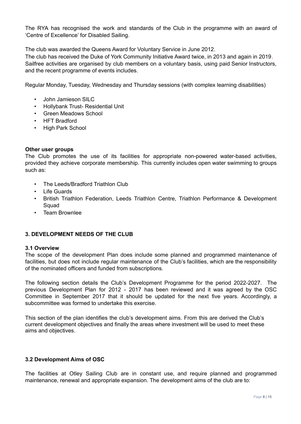The RYA has recognised the work and standards of the Club in the programme with an award of 'Centre of Excellence' for Disabled Sailing.

The club was awarded the Queens Award for Voluntary Service in June 2012.

The club has received the Duke of York Community Initiative Award twice, in 2013 and again in 2019. Sailfree activities are organised by club members on a voluntary basis, using paid Senior Instructors, and the recent programme of events includes.

Regular Monday, Tuesday, Wednesday and Thursday sessions (with complex learning disabilities)

- John Jamieson SILC
- Hollybank Trust- Residential Unit
- Green Meadows School
- HFT Bradford
- High Park School

#### **Other user groups**

The Club promotes the use of its facilities for appropriate non-powered water-based activities, provided they achieve corporate membership. This currently includes open water swimming to groups such as:

- The Leeds/Bradford Triathlon Club
- **Life Guards**
- British Triathlon Federation, Leeds Triathlon Centre, Triathlon Performance & Development Squad
- Team Brownlee

#### **3. DEVELOPMENT NEEDS OF THE CLUB**

#### **3.1 Overview**

The scope of the development Plan does include some planned and programmed maintenance of facilities, but does not include regular maintenance of the Club's facilities, which are the responsibility of the nominated officers and funded from subscriptions.

The following section details the Club's Development Programme for the period 2022-2027. The previous Development Plan for 2012 - 2017 has been reviewed and it was agreed by the OSC Committee in September 2017 that it should be updated for the next five years. Accordingly, a subcommittee was formed to undertake this exercise.

This section of the plan identifies the club's development aims. From this are derived the Club's current development objectives and finally the areas where investment will be used to meet these aims and objectives.

#### **3.2 Development Aims of OSC**

The facilities at Otley Sailing Club are in constant use, and require planned and programmed maintenance, renewal and appropriate expansion. The development aims of the club are to: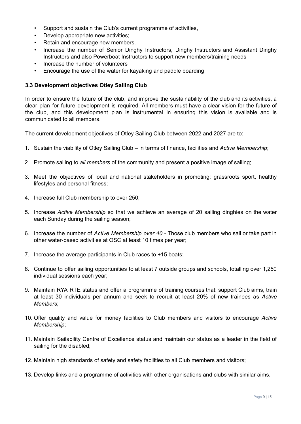- Support and sustain the Club's current programme of activities,
- Develop appropriate new activities;
- Retain and encourage new members.
- Increase the number of Senior Dinghy Instructors, Dinghy Instructors and Assistant Dinghy Instructors and also Powerboat Instructors to support new members/training needs
- Increase the number of volunteers
- Encourage the use of the water for kayaking and paddle boarding

# **3.3 Development objectives Otley Sailing Club**

In order to ensure the future of the club, and improve the sustainability of the club and its activities, a clear plan for future development is required. All members must have a clear vision for the future of the club, and this development plan is instrumental in ensuring this vision is available and is communicated to all members.

The current development objectives of Otley Sailing Club between 2022 and 2027 are to:

- 1. Sustain the viability of Otley Sailing Club in terms of finance, facilities and *Active Membership*;
- 2. Promote sailing to *all members* of the community and present a positive image of sailing;
- 3. Meet the objectives of local and national stakeholders in promoting: grassroots sport, healthy lifestyles and personal fitness;
- 4. Increase full Club membership to over 250;
- 5. Increase *Active Membership* so that we achieve an average of 20 sailing dinghies on the water each Sunday during the sailing season;
- 6. Increase the number of *Active Membership over 40* Those club members who sail or take part in other water-based activities at OSC at least 10 times per year;
- 7. Increase the average participants in Club races to +15 boats;
- 8. Continue to offer sailing opportunities to at least 7 outside groups and schools, totalling over 1,250 individual sessions each year;
- 9. Maintain RYA RTE status and offer a programme of training courses that: support Club aims, train at least 30 individuals per annum and seek to recruit at least 20% of new trainees as *Active Members*;
- 10. Offer quality and value for money facilities to Club members and visitors to encourage *Active Membership*;
- 11. Maintain Sailability Centre of Excellence status and maintain our status as a leader in the field of sailing for the disabled;
- 12. Maintain high standards of safety and safety facilities to all Club members and visitors;
- 13. Develop links and a programme of activities with other organisations and clubs with similar aims.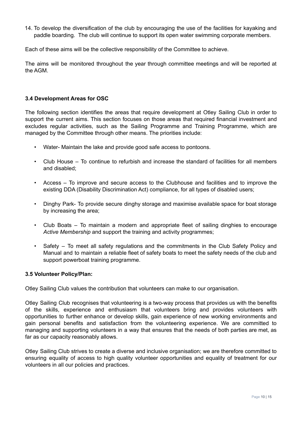14. To develop the diversification of the club by encouraging the use of the facilities for kayaking and paddle boarding. The club will continue to support its open water swimming corporate members.

Each of these aims will be the collective responsibility of the Committee to achieve.

The aims will be monitored throughout the year through committee meetings and will be reported at the AGM.

## **3.4 Development Areas for OSC**

The following section identifies the areas that require development at Otley Sailing Club in order to support the current aims. This section focuses on those areas that required financial investment and excludes regular activities, such as the Sailing Programme and Training Programme, which are managed by the Committee through other means. The priorities include:

- Water- Maintain the lake and provide good safe access to pontoons.
- Club House To continue to refurbish and increase the standard of facilities for all members and disabled;
- Access To improve and secure access to the Clubhouse and facilities and to improve the existing DDA (Disability Discrimination Act) compliance, for all types of disabled users;
- Dinghy Park- To provide secure dinghy storage and maximise available space for boat storage by increasing the area;
- Club Boats To maintain a modern and appropriate fleet of sailing dinghies to encourage *Active Membership* and support the training and activity programmes;
- Safety To meet all safety regulations and the commitments in the Club Safety Policy and Manual and to maintain a reliable fleet of safety boats to meet the safety needs of the club and support powerboat training programme.

#### **3.5 Volunteer Policy/Plan:**

Otley Sailing Club values the contribution that volunteers can make to our organisation.

Otley Sailing Club recognises that volunteering is a two-way process that provides us with the benefits of the skills, experience and enthusiasm that volunteers bring and provides volunteers with opportunities to further enhance or develop skills, gain experience of new working environments and gain personal benefits and satisfaction from the volunteering experience. We are committed to managing and supporting volunteers in a way that ensures that the needs of both parties are met, as far as our capacity reasonably allows.

Otley Sailing Club strives to create a diverse and inclusive organisation; we are therefore committed to ensuring equality of access to high quality volunteer opportunities and equality of treatment for our volunteers in all our policies and practices.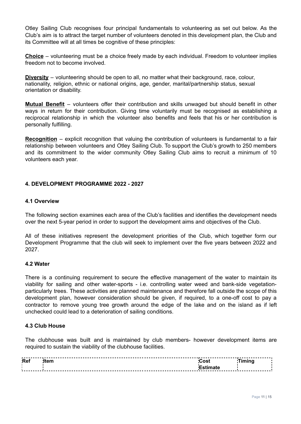Otley Sailing Club recognises four principal fundamentals to volunteering as set out below. As the Club's aim is to attract the target number of volunteers denoted in this development plan, the Club and its Committee will at all times be cognitive of these principles:

**Choice** – volunteering must be a choice freely made by each individual. Freedom to volunteer implies freedom not to become involved.

**Diversity** – volunteering should be open to all, no matter what their background, race, colour, nationality, religion, ethnic or national origins, age, gender, marital/partnership status, sexual orientation or disability.

**Mutual Benefit** – volunteers offer their contribution and skills unwaged but should benefit in other ways in return for their contribution. Giving time voluntarily must be recognised as establishing a reciprocal relationship in which the volunteer also benefits and feels that his or her contribution is personally fulfilling.

**Recognition** – explicit recognition that valuing the contribution of volunteers is fundamental to a fair relationship between volunteers and Otley Sailing Club. To support the Club's growth to 250 members and its commitment to the wider community Otley Sailing Club aims to recruit a minimum of 10 volunteers each year.

#### **4. DEVELOPMENT PROGRAMME 2022 - 2027**

#### **4.1 Overview**

The following section examines each area of the Club's facilities and identifies the development needs over the next 5-year period in order to support the development aims and objectives of the Club.

All of these initiatives represent the development priorities of the Club, which together form our Development Programme that the club will seek to implement over the five years between 2022 and 2027.

#### **4.2 Water**

There is a continuing requirement to secure the effective management of the water to maintain its viability for sailing and other water-sports - i.e. controlling water weed and bank-side vegetationparticularly trees. These activities are planned maintenance and therefore fall outside the scope of this development plan, however consideration should be given, if required, to a one-off cost to pay a contractor to remove young tree growth around the edge of the lake and on the island as if left unchecked could lead to a deterioration of sailing conditions.

#### **4.3 Club House**

The clubhouse was built and is maintained by club members- however development items are required to sustain the viability of the clubhouse facilities.

|   | Ret | $\sim$ |   |
|---|-----|--------|---|
| . |     |        | . |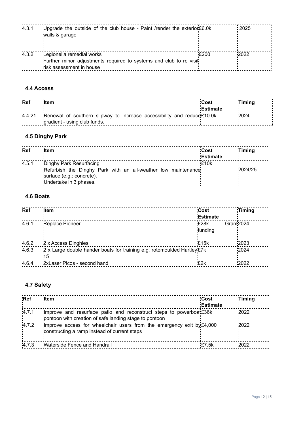| 4.3.1 | 'Upgrade the outside of the club house - Paint / render the exterior £6.0k |      | $-2025$ |
|-------|----------------------------------------------------------------------------|------|---------|
|       | walls & garage                                                             |      |         |
|       |                                                                            |      |         |
| 4.3.2 | Legionella remedial works                                                  | £200 | 2022    |
|       | Further minor adjustments required to systems and club to re visit         |      |         |
|       | risk assessment in house                                                   |      |         |

# **4.4 Access**

| <b>Ref</b> | ltem:                                                                                                  | Cost<br>Estimate | :Timina |
|------------|--------------------------------------------------------------------------------------------------------|------------------|---------|
| 4.4.21     | Renewal of southern slipway to increase accessibility and reduce£10.0k<br>gradient - using club funds. |                  | 2024    |

# **4.5 Dinghy Park**

| <b>Ref</b> | <b>Item</b>                                                                                                                                     | Cost            | Timing  |  |
|------------|-------------------------------------------------------------------------------------------------------------------------------------------------|-----------------|---------|--|
|            |                                                                                                                                                 | <b>Estimate</b> |         |  |
| 4.5.1      | Dinghy Park Resurfacing<br>Refurbish the Dinghy Park with an all-weather low maintenance<br>surface (e.g.: concrete).<br>Undertake in 3 phases. | £10k            | 2024/25 |  |

# **4.6 Boats**

| Ref   | <b>Item</b>                                                                    | <b>Cost</b><br><b>Estimate</b> | <b>Timing</b> |
|-------|--------------------------------------------------------------------------------|--------------------------------|---------------|
| 4.6.1 | <b>Replace Pioneer</b>                                                         | £28k<br>Grant2024<br>funding   |               |
| 4.6.2 | 2 x Access Dinghies                                                            | £15k                           | 2023          |
| 4.6.3 | 2 x Large double hander boats for training e.g. rotomoulded Hartley £7k<br>'15 |                                | 2024          |
| 4.6.4 | 2xLaser Picos - second hand                                                    | £2k                            | 2022          |

# **4.7 Safety**

| <b>Ref</b> | <b>Item</b>                                                                                                                     | <b>Cost</b><br><b>Estimate</b> | <b>Timing</b> |
|------------|---------------------------------------------------------------------------------------------------------------------------------|--------------------------------|---------------|
| 4.7.1      | Improve and resurface patio and reconstruct steps to powerboat $£36k$<br>pontoon with creation of safe landing stage to pontoon |                                | 2022          |
| 4.7.2      | Improve access for wheelchair users from the emergency exit by £4,000<br>constructing a ramp instead of current steps           |                                | 2022          |
| 4.7.3      | Waterside Fence and Handrail                                                                                                    | £7.5k                          | 2022          |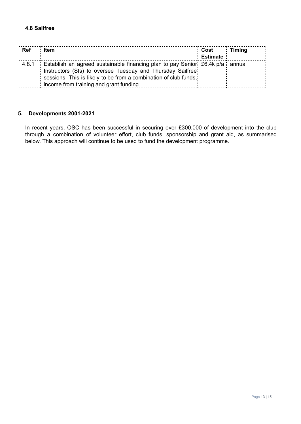# **4.8 Sailfree**

| : Ref | Item                                                                                       | : Cost          | Timing |
|-------|--------------------------------------------------------------------------------------------|-----------------|--------|
|       |                                                                                            | <b>Estimate</b> |        |
|       | : 4.8.1 : Establish an agreed sustainable financing plan to pay Senior: £6.4k p/a : annual |                 |        |
|       | Instructors (SIs) to oversee Tuesday and Thursday Sailfree!                                |                 |        |
|       | sessions. This is likely to be from a combination of club funds,                           |                 |        |
|       | income from training and grant funding.                                                    |                 |        |

# **5. Developments 2001-2021**

In recent years, OSC has been successful in securing over £300,000 of development into the club through a combination of volunteer effort, club funds, sponsorship and grant aid, as summarised below. This approach will continue to be used to fund the development programme.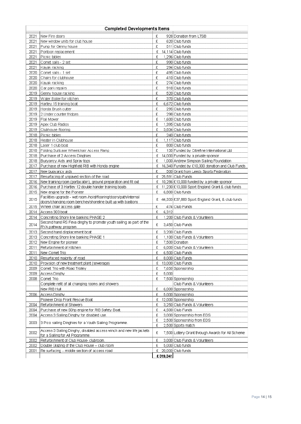|      | <b>Completed Developments Items</b>                                                       |                                                        |  |  |
|------|-------------------------------------------------------------------------------------------|--------------------------------------------------------|--|--|
| 2021 | New Fire doors                                                                            | £<br>928 Donation from LTSB                            |  |  |
| 2021 | New window units for club house                                                           | £<br>620 Club funds                                    |  |  |
| 2021 | Pump for Genny house                                                                      | £<br>511 Club funds                                    |  |  |
| 2021 | Pontoon replacement                                                                       | 14,114 Club funds<br>£                                 |  |  |
| 2021 | Picnic tables                                                                             | 1,296 Club funds<br>£                                  |  |  |
| 2021 | Comet sails - 2 set                                                                       | £<br>990 Club funds                                    |  |  |
| 2021 | Kayak racking                                                                             | 294 Club funds<br>£                                    |  |  |
| 2020 | Comet sails - 1 set                                                                       | £<br>495 Club funds                                    |  |  |
| 2020 | Chairs for clubhouse                                                                      | 410 Club funds<br>£                                    |  |  |
| 2020 | Kayak racking                                                                             | 274 Club funds<br>£                                    |  |  |
| 2020 | Car park repairs                                                                          | £<br>918 Club funds                                    |  |  |
| 2019 | Genny house racking                                                                       | £<br>520 Club funds                                    |  |  |
| 2019 | Water Boiler for kitchen                                                                  | £<br>370 Club funds                                    |  |  |
| 2019 | Hartley 15 training boat                                                                  | 6.672 Club funds<br>£                                  |  |  |
| 2019 | Honda Brush cutter                                                                        | £<br>295 Club funds                                    |  |  |
| 2019 | 2 Under counter fridges                                                                   | 298 Club funds<br>£                                    |  |  |
| 2019 | Flail Mower                                                                               | 1,600 Club funds<br>£                                  |  |  |
| 2019 | Apex Club Radios                                                                          | £<br>1,395 Club funds                                  |  |  |
| 2019 | Clubhouse flooring                                                                        | £<br>3,834 Club funds                                  |  |  |
| 2018 | Picnic tables                                                                             | £<br>240 Club funds                                    |  |  |
| 2018 | Heater in Clubhouse                                                                       | 1.117 Club funds<br>£                                  |  |  |
| 2018 | Laser 1 club boat                                                                         | £<br>800 Club funds                                    |  |  |
| 2018 | Folding Suitcase Wheelchair Access Ramp                                                   | £<br>135 Funded by Citrefine International Ltd         |  |  |
| 2018 | Purchase of 2 Access Dinghies                                                             | 14,000 Funded by a private sponsor<br>£                |  |  |
| 2018 | Buoyancy Aids and Spray tops                                                              | 1,000 Andrew Simpson Sailing Foundation<br>£           |  |  |
| 2017 | Purchase of new Highfield RIB with Honda engine                                           | 16,340 Funded by £10,000 donation and Club Funds<br>£  |  |  |
| 2017 | ∣New buoyancy aids                                                                        | £<br>500 Grant from Leeds Sports Federation            |  |  |
| 2017 | Resurfacing of unpaved section of the road                                                | 25,591 Club Funds<br>£                                 |  |  |
| 2016 | New training room (portacabin), ground preparation and fit out                            | 10,286 £10,000 funded by a private sponsor<br>£        |  |  |
| 2016 | Purchase of 3 Hartley 12 double hander training boats                                     | 11,230 £10,000 Sport England Grant & club funds<br>£   |  |  |
| 2015 | New engine for the Pioneer                                                                | £<br>6,800 Club funds                                  |  |  |
| 2015 | Facilities upgrade - wet room /hoist/flooring/doors/path/internal                         | £ 44,333 £37,883 Sport England Grant, & club funds     |  |  |
|      | doors/changing room benches/shoreline built up with bastions                              |                                                        |  |  |
| 2015 | Wheel chair access gate                                                                   | £<br>474 Club Funds                                    |  |  |
| 2014 | Access 303 boat                                                                           | £<br>6,312                                             |  |  |
| 2014 | Concreting Shore line banking PHASE 2                                                     | £<br>1,200 Club Funds & Volunteers                     |  |  |
| 2014 | Second hand RS Feva dinghy to promote youth sailing as part of the<br>RYA pathway program | £<br>3,450 Club Funds                                  |  |  |
| 2013 | Second hand displacement boat                                                             | £<br>3,200 Club Funds                                  |  |  |
| 2013 | Concreting Shore line banking PHASE 1                                                     | 1,100 Club Funds & Volunteers<br>£                     |  |  |
| 2012 | New Engine for pioneer                                                                    | £<br>7,500 Donation                                    |  |  |
| 2011 | Refurbishment of Kitchen                                                                  | £<br>6,000 Club Funds & Volunteers                     |  |  |
| 2011 | New Comet Trio                                                                            | 6,500 Club Funds                                       |  |  |
| 2010 | Resurfaced majority of road                                                               | 8,000 Club Funds<br>£                                  |  |  |
| 2010 | Provision of new treatment plant (sewerage)                                               | 13,000 Club Funds<br>£                                 |  |  |
| 2009 | Comet Trio with Road Trolley                                                              | £<br>7,650 Sponsorship                                 |  |  |
| 2009 | Access Dinghy                                                                             | £<br>5,000                                             |  |  |
| 2008 | Comet Trio                                                                                | £<br>7,500 Sponsorship                                 |  |  |
|      | Complete refit of all changing rooms and showers                                          | Club Funds & Volunteers                                |  |  |
|      | New RIB Hull                                                                              | £<br>6,000 Sponsorship                                 |  |  |
| 2006 | Access Dinghy                                                                             | 5,000 Sponsorship<br>£                                 |  |  |
|      | Pioneer Drop Front Rescue Boat                                                            | £<br>12,000 Sponsorship                                |  |  |
| 2004 | Refurbishment of Showers                                                                  | 3,250 Club Funds & Volunteers<br>£                     |  |  |
| 2004 | Purchase of new 50hp engine for RIB Safety Boat.                                          | £<br>4,500 Club Funds                                  |  |  |
| 2004 | Access 3 Sailing Dinghy for disabled use.                                                 | 3,000 Sponsorship from EDS<br>£                        |  |  |
| 2003 | 3 Pico sailing Dinghies for a Youth Sailing Programme.                                    | £<br>2,500 Sponsorship from EDS                        |  |  |
|      |                                                                                           | £<br>2,500 Sports match                                |  |  |
| 2002 | Access 3 Sailing Dinghy, disabled access winch and new life jackets                       | £<br>7,500 Lottery Grant through Awards for All Scheme |  |  |
|      | for a Sailing for All Programme.                                                          |                                                        |  |  |
| 2002 | Refurbishment of Club House-clubroom                                                      | £<br>3,000 Club Funds & Volunteers                     |  |  |
| 2002 | Double Glazing of the Club House - club room                                              | £<br>5,000 Club funds                                  |  |  |
| 2001 | Re surfacing - middle section of access road                                              | $\mathfrak{L}$ 20,000 Club funds                       |  |  |
|      |                                                                                           | £319,341                                               |  |  |